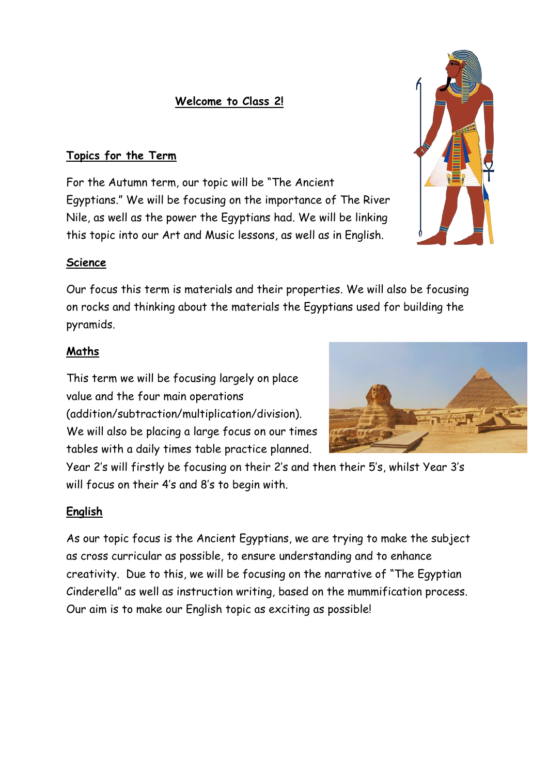## **Welcome to Class 2!**

### **Topics for the Term**

For the Autumn term, our topic will be "The Ancient Egyptians." We will be focusing on the importance of The River Nile, as well as the power the Egyptians had. We will be linking this topic into our Art and Music lessons, as well as in English.

### **Science**

Our focus this term is materials and their properties. We will also be focusing on rocks and thinking about the materials the Egyptians used for building the pyramids.

### **Maths**

This term we will be focusing largely on place value and the four main operations (addition/subtraction/multiplication/division). We will also be placing a large focus on our times tables with a daily times table practice planned.

Year 2's will firstly be focusing on their 2's and then their 5's, whilst Year 3's will focus on their 4's and 8's to begin with.

#### **English**

As our topic focus is the Ancient Egyptians, we are trying to make the subject as cross curricular as possible, to ensure understanding and to enhance creativity. Due to this, we will be focusing on the narrative of "The Egyptian Cinderella" as well as instruction writing, based on the mummification process. Our aim is to make our English topic as exciting as possible!